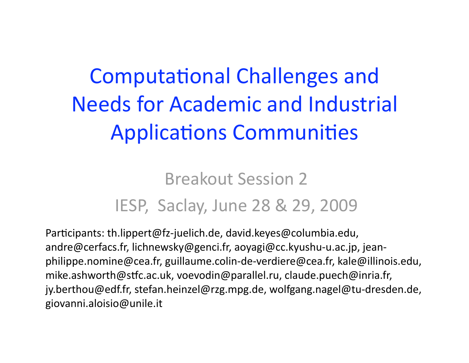# Computational Challenges and Needs
for
Academic
and
Industrial Applications Communities

## Breakout
Session
2 IESP,

Saclay,
June
28
&
29,
2009

Participants: th.lippert@fz-juelich.de, david.keyes@columbia.edu, andre@cerfacs.fr,
lichnewsky@genci.fr,
aoyagi@cc.kyushu‐u.ac.jp,
jean‐ philippe.nomine@cea.fr, guillaume.colin-de-verdiere@cea.fr, kale@illinois.edu, mike.ashworth@stfc.ac.uk, voevodin@parallel.ru, claude.puech@inria.fr, jy.berthou@edf.fr,
stefan.heinzel@rzg.mpg.de,
wolfgang.nagel@tu‐dresden.de, giovanni.aloisio@unile.it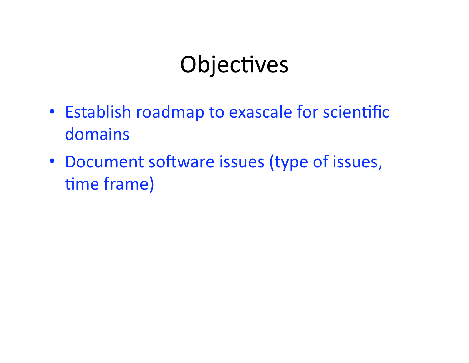# Objectives

- Establish roadmap to exascale for scientific domains
- Document software issues (type of issues, time frame)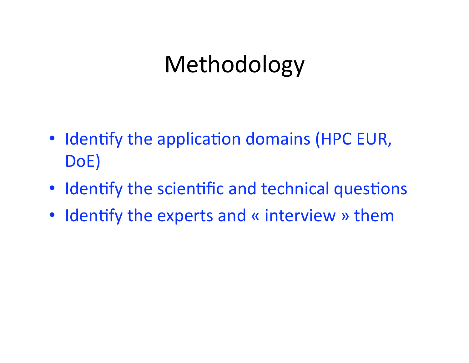# Methodology

- Identify the application domains (HPC EUR, DoE)
- Identify the scientific and technical questions
- Identify the experts and « interview » them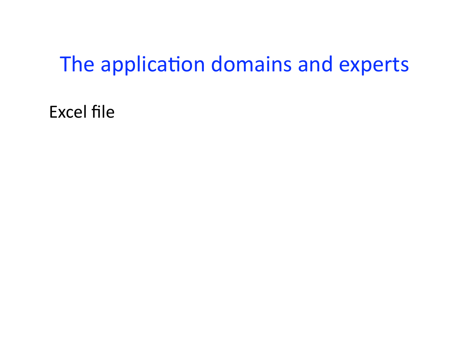## The application domains and experts

Excel
file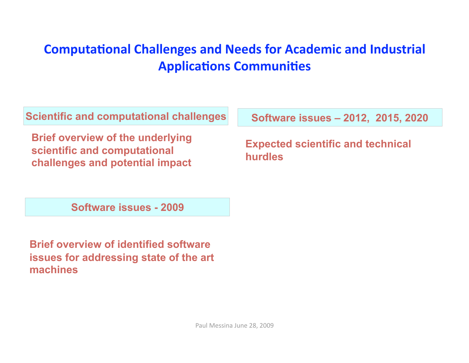#### **Computational Challenges and Needs for Academic and Industrial Applications Communities**

**Scientific and computational challenges** 

**Brief overview of the underlying scientific and computational challenges and potential impact** 

**Software issues - 2009** 

**Brief overview of identified software issues for addressing state of the art machines** 

**Software issues – 2012, 2015, 2020** 

**Expected scientific and technical hurdles**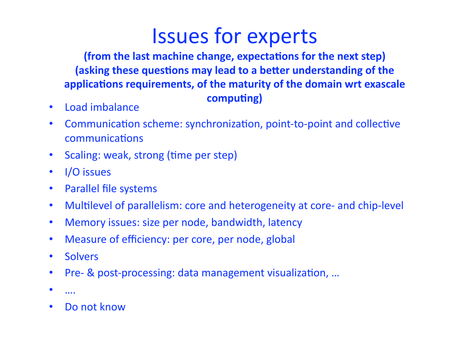## Issues
for
experts

(from the last machine change, expectations for the next step) (asking these questions may lead to a better understanding of the applications requirements, of the maturity of the domain wrt exascale computing)

- Load
imbalance
- Communication scheme: synchronization, point-to-point and collective communications
- Scaling: weak, strong (time per step)
- I/O issues
- Parallel
file
systems
- Multilevel of parallelism: core and heterogeneity at core- and chip-level
- Memory
issues:
size
per
node,
bandwidth,
latency
- Measure of efficiency: per core, per node, global
- Solvers
- Pre- & post-processing: data management visualization, ...
- $\bullet$  …..
- Do not know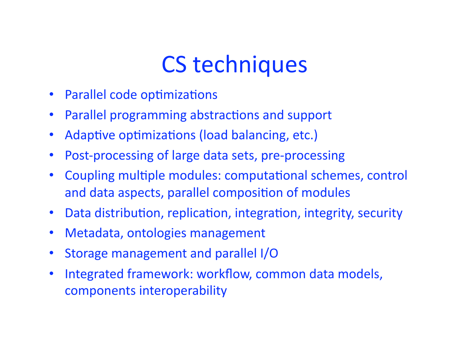# CS
techniques

- Parallel code optimizations
- Parallel programming abstractions and support
- Adaptive optimizations (load balancing, etc.)
- Post-processing of large data sets, pre-processing
- Coupling multiple modules: computational schemes, control and data aspects, parallel composition of modules
- Data distribution, replication, integration, integrity, security
- Metadata,
ontologies
management
- Storage
management
and
parallel
I/O
- Integrated
framework:
workflow,
common
data
models, components
interoperability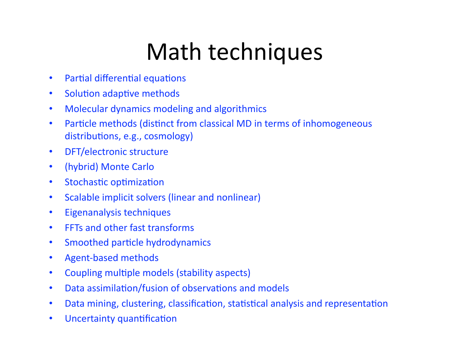# Math
techniques

- Partial differential equations
- Solution adaptive methods
- Molecular
dynamics
modeling
and
algorithmics
- Particle methods (distinct from classical MD in terms of inhomogeneous distributions, e.g., cosmology)
- DFT/electronic
structure
- (hybrid)
Monte
Carlo
- Stochastic optimization
- Scalable implicit solvers (linear and nonlinear)
- Eigenanalysis
techniques
- FFTs and other fast transforms
- Smoothed particle hydrodynamics
- Agent‐based
methods
- Coupling multiple models (stability aspects)
- Data assimilation/fusion of observations and models
- Data mining, clustering, classification, statistical analysis and representation
- Uncertainty quantification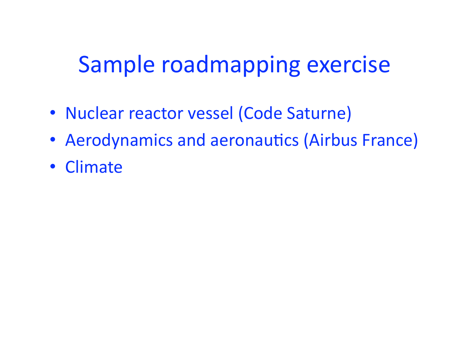## Sample
roadmapping
exercise

- Nuclear
reactor
vessel
(Code
Saturne)
- Aerodynamics and aeronautics (Airbus France)
- Climate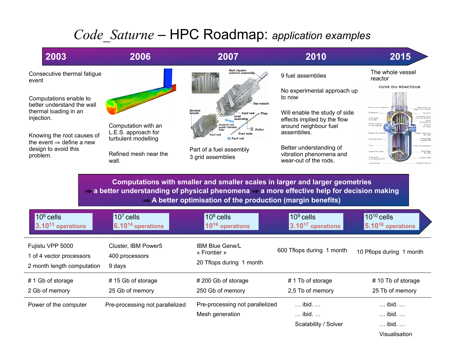### *Code\_Saturne* – HPC Roadmap: *application examples*



**Computations with smaller and smaller scales in larger and larger geometries**  ⇒ **a better understanding of physical phenomena** ⇒ **a more effective help for decision making**  ⇒ **A better optimisation of the production (margin benefits)** 

| $10^6$ cells                                                               | $107$ cells                                     | $108$ cells                                                        | $109$ cells                            | $10^{10}$ cells                                                                              |
|----------------------------------------------------------------------------|-------------------------------------------------|--------------------------------------------------------------------|----------------------------------------|----------------------------------------------------------------------------------------------|
| 3.10 <sup>13</sup> operations                                              | 6.10 <sup>14</sup> operations                   | 10 <sup>16</sup> operations                                        | 3.10 <sup>17</sup> operations          | $5.10^{18}$ operations                                                                       |
| Fujistu VPP 5000<br>1 of 4 vector processors<br>2 month length computation | Cluster, IBM Power5<br>400 processors<br>9 days | <b>IBM Blue Gene/L</b><br>« Frontier »<br>20 Tflops during 1 month | 600 Tflops during 1 month              | 10 Pflops during 1 month                                                                     |
| # 1 Gb of storage                                                          | #15 Gb of storage                               | #200 Gb of storage                                                 | # 1 Tb of storage                      | #10 Tb of storage                                                                            |
| 2 Gb of memory                                                             | 25 Gb of memory                                 | 250 Gb of memory                                                   | 2,5 Tb of memory                       | 25 Tb of memory                                                                              |
| Power of the computer                                                      | Pre-processing not parallelized                 | Pre-processing not parallelized<br>Mesh generation                 | ibid.<br>ibid.<br>Scalability / Solver | $\ldots$ ibid. $\ldots$<br>$\ldots$ ibid. $\ldots$<br>$\dots$ ibid. $\dots$<br>Visualisation |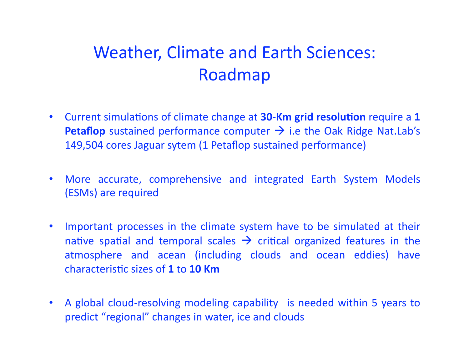### Weather,
Climate
and
Earth
Sciences: Roadmap

- Current simulations of climate change at **30-Km grid resolution** require a 1 **Petaflop** sustained performance computer  $\rightarrow$  i.e the Oak Ridge Nat.Lab's 149,504
cores
Jaguar
sytem
(1
Petaflop
sustained
performance)
- More accurate, comprehensive and integrated Earth System Models (ESMs)
are
required
- Important processes in the climate system have to be simulated at their native spatial and temporal scales  $\rightarrow$  critical organized features in the atmosphere
 and
 acean
 (including
 clouds
 and
 ocean
 eddies)
 have characteristic sizes of 1 to 10 Km
- A global cloud-resolving modeling capability is needed within 5 years to predict
"regional"
changes
in
water,
ice
and
clouds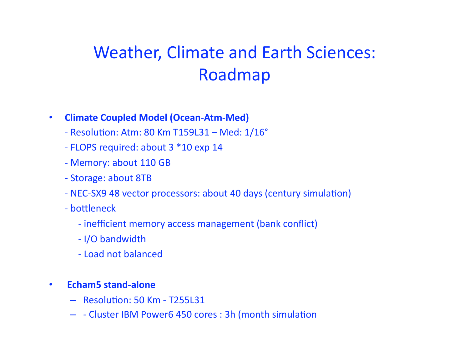## Weather, Climate and Earth Sciences: Roadmap

#### • **Climate
Coupled
Model
(Ocean‐Atm‐Med)**

- $-$  Resolution: Atm: 80 Km T159L31 Med:  $1/16^{\circ}$
- ‐
FLOPS
required:
about
3
\*10
exp
14
- ‐
Memory:
about
110
GB
- ‐
Storage:
about
8TB
- NEC-SX9 48 vector processors: about 40 days (century simulation)
- ‐
botleneck
	- ‐
	inefficient
	memory
	access
	management
	(bank
	conflict)
	- ‐
	I/O
	bandwidth
	- ‐
	Load
	not
	balanced

#### • **Echam5
stand‐alone**

- Resolution: 50 Km T255L31
- - Cluster IBM Power6 450 cores : 3h (month simulation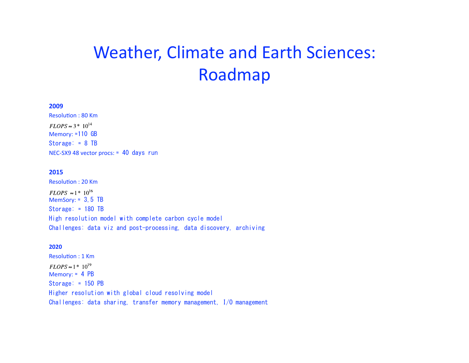### Weather,
Climate
and
Earth
Sciences: Roadmap

#### **2009**

Resolution: 80 Km  $FLOPS \approx 3*10^{14}$ Memory: ≈110 GB Storage: ≈ 8 TB NEC‐SX9
48
vector
procs: ≈ 40 days run

#### **2015**

Resolution: 20 Km  $FLOPS \approx 1*10^{16}$ MemSory: ≈ 3,5 TB Storage: ≈ 180 TB High resolution model with complete carbon cycle model Challenges: data viz and post-processing, data discovery, archiving

#### **2020**

Resolution: 1 Km  $FLOPS \approx 1*10^{19}$ Memory: ≈ 4 PB Storage: ≈ 150 PB Higher resolution with global cloud resolving model Challenges: data sharing, transfer memory management, I/O management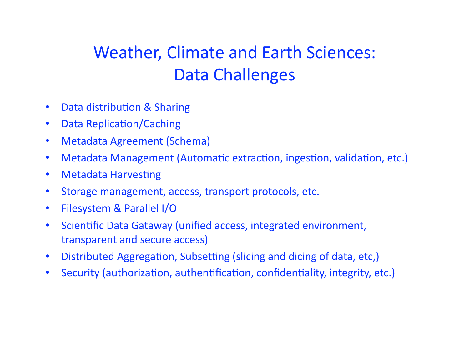## Weather,
Climate
and
Earth
Sciences: Data
Challenges

- Data distribution & Sharing
- Data Replication/Caching
- Metadata
Agreement
(Schema)
- Metadata Management (Automatic extraction, ingestion, validation, etc.)
- Metadata Harvesting
- Storage
management,
access,
transport
protocols,
etc.
- Filesystem
&
Parallel
I/O
- Scientific Data Gataway (unified access, integrated environment, transparent
and
secure
access)
- Distributed Aggregation, Subsetting (slicing and dicing of data, etc,)
- Security (authorization, authentification, confidentiality, integrity, etc.)